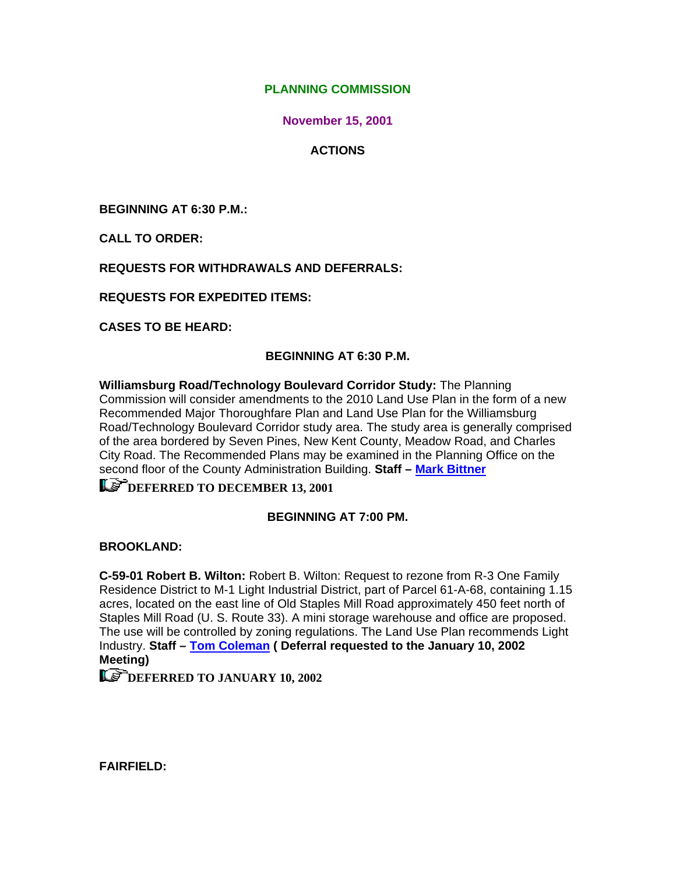## **PLANNING COMMISSION**

**November 15, 2001**

## **ACTIONS**

**BEGINNING AT 6:30 P.M.:** 

**CALL TO ORDER:** 

**REQUESTS FOR WITHDRAWALS AND DEFERRALS:** 

**REQUESTS FOR EXPEDITED ITEMS:** 

**CASES TO BE HEARD:** 

#### **BEGINNING AT 6:30 P.M.**

**Williamsburg Road/Technology Boulevard Corridor Study:** The Planning Commission will consider amendments to the 2010 Land Use Plan in the form of a new Recommended Major Thoroughfare Plan and Land Use Plan for the Williamsburg Road/Technology Boulevard Corridor study area. The study area is generally comprised of the area bordered by Seven Pines, New Kent County, Meadow Road, and Charles City Road. The Recommended Plans may be examined in the Planning Office on the second floor of the County Administration Building. **Staff – [Mark Bittner](mailto:bit10@co.henrico.va.us)**

# **[DEFERRED TO DECEMBER 13, 2001](mailto:bit10@co.henrico.va.us)**

#### **BEGINNING AT 7:00 PM.**

**BROOKLAND:** 

**C-59-01 Robert B. Wilton:** Robert B. Wilton: Request to rezone from R-3 One Family Residence District to M-1 Light Industrial District, part of Parcel 61-A-68, containing 1.15 acres, located on the east line of Old Staples Mill Road approximately 450 feet north of Staples Mill Road (U. S. Route 33). A mini storage warehouse and office are proposed. The use will be controlled by zoning regulations. The Land Use Plan recommends Light Industry. **Staff – [Tom Coleman](mailto:col09@co.henrico.va.us) ( Deferral requested to the January 10, 2002 Meeting)** 

**LET DEFERRED TO JANUARY 10, 2002** 

**FAIRFIELD:**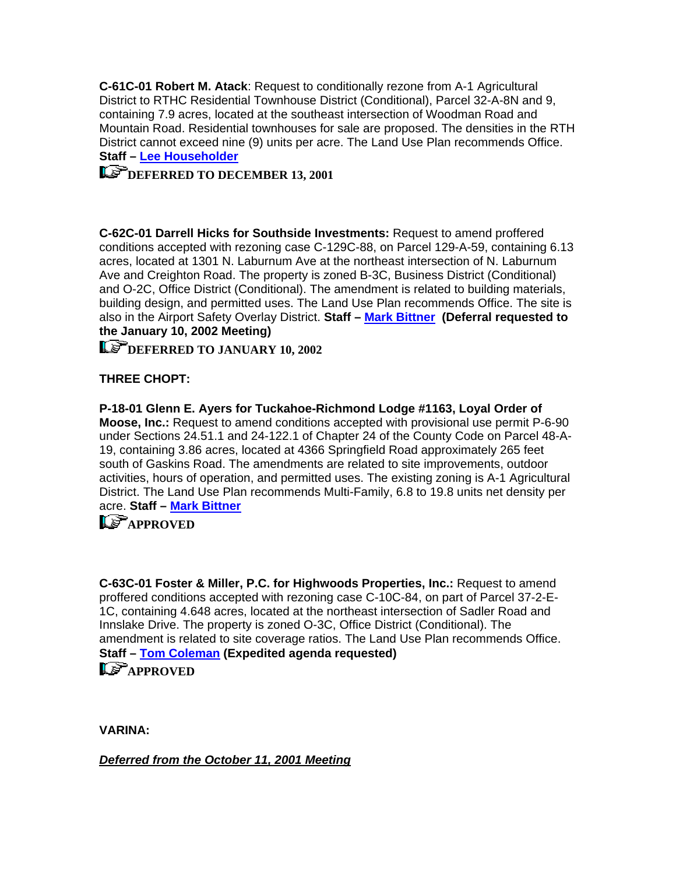**C-61C-01 Robert M. Atack**: Request to conditionally rezone from A-1 Agricultural District to RTHC Residential Townhouse District (Conditional), Parcel 32-A-8N and 9, containing 7.9 acres, located at the southeast intersection of Woodman Road and Mountain Road. Residential townhouses for sale are proposed. The densities in the RTH District cannot exceed nine (9) units per acre. The Land Use Plan recommends Office. **Staff – [Lee Householder](mailto:hou10@co.henrico.va.us)**

# **[DEFERRED TO DECEMBER 13, 2001](mailto:hou10@co.henrico.va.us)**

**C-62C-01 Darrell Hicks for Southside Investments:** Request to amend proffered conditions accepted with rezoning case C-129C-88, on Parcel 129-A-59, containing 6.13 acres, located at 1301 N. Laburnum Ave at the northeast intersection of N. Laburnum Ave and Creighton Road. The property is zoned B-3C, Business District (Conditional) and O-2C, Office District (Conditional). The amendment is related to building materials, building design, and permitted uses. The Land Use Plan recommends Office. The site is also in the Airport Safety Overlay District. **Staff – [Mark Bittner](mailto:bit10@co.henrico.va.us) (Deferral requested to the January 10, 2002 Meeting)** 

**Le<sup>P</sup>DEFERRED TO JANUARY 10, 2002** 

## **THREE CHOPT:**

**P-18-01 Glenn E. Ayers for Tuckahoe-Richmond Lodge #1163, Loyal Order of Moose, Inc.:** Request to amend conditions accepted with provisional use permit P-6-90 under Sections 24.51.1 and 24-122.1 of Chapter 24 of the County Code on Parcel 48-A-19, containing 3.86 acres, located at 4366 Springfield Road approximately 265 feet south of Gaskins Road. The amendments are related to site improvements, outdoor activities, hours of operation, and permitted uses. The existing zoning is A-1 Agricultural District. The Land Use Plan recommends Multi-Family, 6.8 to 19.8 units net density per acre. **Staff – [Mark Bittner](mailto:bit10@co.henrico.va.us)**

# **Le<sup>T</sup>[APPROVED](mailto:bit10@co.henrico.va.us)**

**C-63C-01 Foster & Miller, P.C. for Highwoods Properties, Inc.:** Request to amend proffered conditions accepted with rezoning case C-10C-84, on part of Parcel 37-2-E-1C, containing 4.648 acres, located at the northeast intersection of Sadler Road and Innslake Drive. The property is zoned O-3C, Office District (Conditional). The amendment is related to site coverage ratios. The Land Use Plan recommends Office. **Staff – [Tom Coleman](mailto:col09@co.henrico.va.us) (Expedited agenda requested) Let approved** 

**VARINA:** 

*Deferred from the October 11, 2001 Meeting*